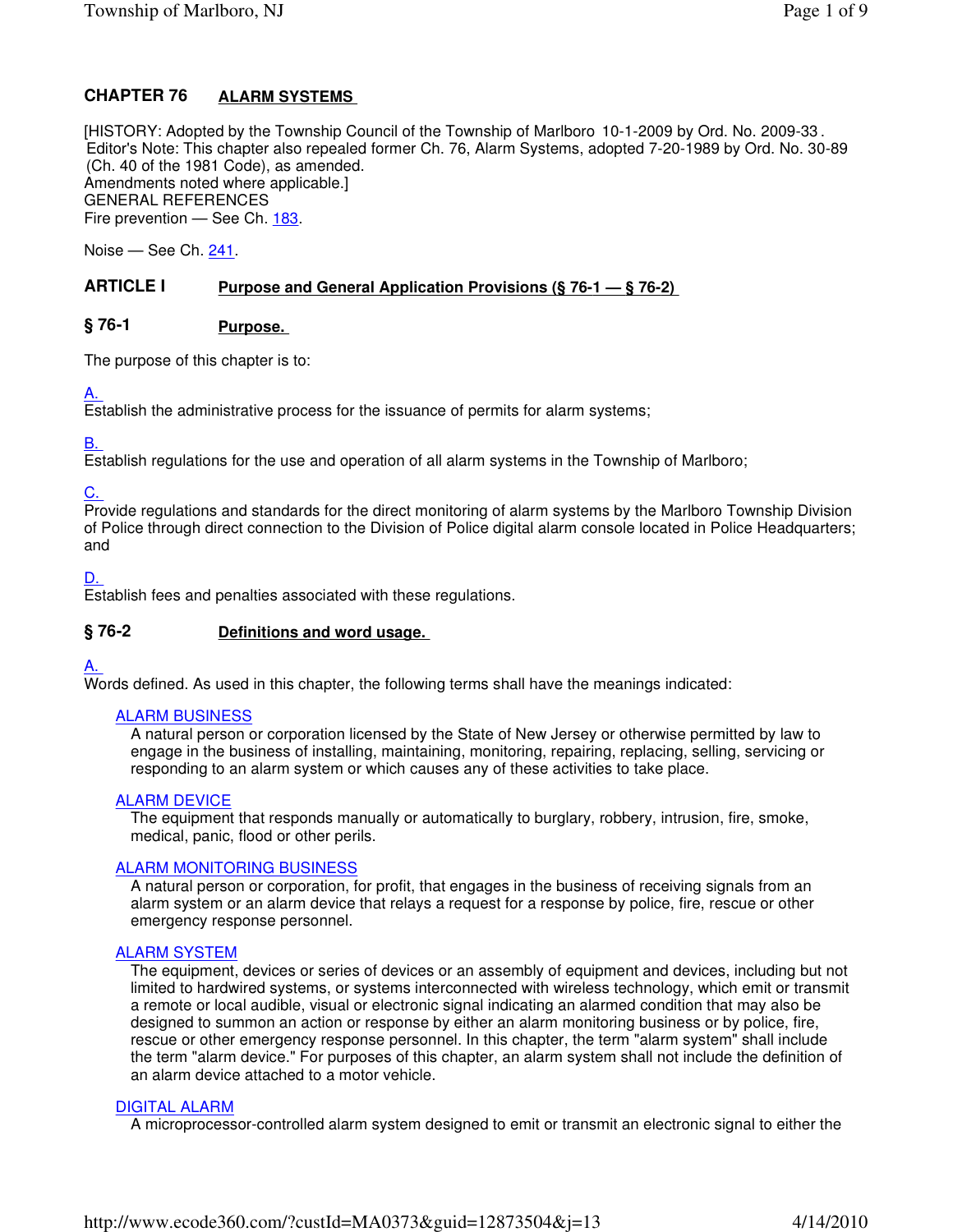#### **ALARM SYSTEMS CHAPTER 76**

[HISTORY: Adopted by the Township Council of the Township of Marlboro 10-1-2009 by Ord. No. 2009-33 . Editor's Note: This chapter also repealed former Ch. 76, Alarm Systems, adopted 7-20-1989 by Ord. No. 30-89 (Ch. 40 of the 1981 Code), as amended. Amendments noted where applicable.] GENERAL REFERENCES Fire prevention — See Ch. 183.

Noise — See Ch. 241.

#### **Purpose and General Application Provisions (§ 76-1 — § 76-2) ARTICLE I**

#### **Purpose. § 76-1**

The purpose of this chapter is to:

#### A.

Establish the administrative process for the issuance of permits for alarm systems;

#### B.

Establish regulations for the use and operation of all alarm systems in the Township of Marlboro;

#### C.

Provide regulations and standards for the direct monitoring of alarm systems by the Marlboro Township Division of Police through direct connection to the Division of Police digital alarm console located in Police Headquarters; and

D.

Establish fees and penalties associated with these regulations.

#### **Definitions and word usage. § 76-2**

#### A.

Words defined. As used in this chapter, the following terms shall have the meanings indicated:

#### ALARM BUSINESS

A natural person or corporation licensed by the State of New Jersey or otherwise permitted by law to engage in the business of installing, maintaining, monitoring, repairing, replacing, selling, servicing or responding to an alarm system or which causes any of these activities to take place.

#### ALARM DEVICE

The equipment that responds manually or automatically to burglary, robbery, intrusion, fire, smoke, medical, panic, flood or other perils.

#### ALARM MONITORING BUSINESS

A natural person or corporation, for profit, that engages in the business of receiving signals from an alarm system or an alarm device that relays a request for a response by police, fire, rescue or other emergency response personnel.

#### ALARM SYSTEM

The equipment, devices or series of devices or an assembly of equipment and devices, including but not limited to hardwired systems, or systems interconnected with wireless technology, which emit or transmit a remote or local audible, visual or electronic signal indicating an alarmed condition that may also be designed to summon an action or response by either an alarm monitoring business or by police, fire, rescue or other emergency response personnel. In this chapter, the term "alarm system" shall include the term "alarm device." For purposes of this chapter, an alarm system shall not include the definition of an alarm device attached to a motor vehicle.

#### DIGITAL ALARM

A microprocessor-controlled alarm system designed to emit or transmit an electronic signal to either the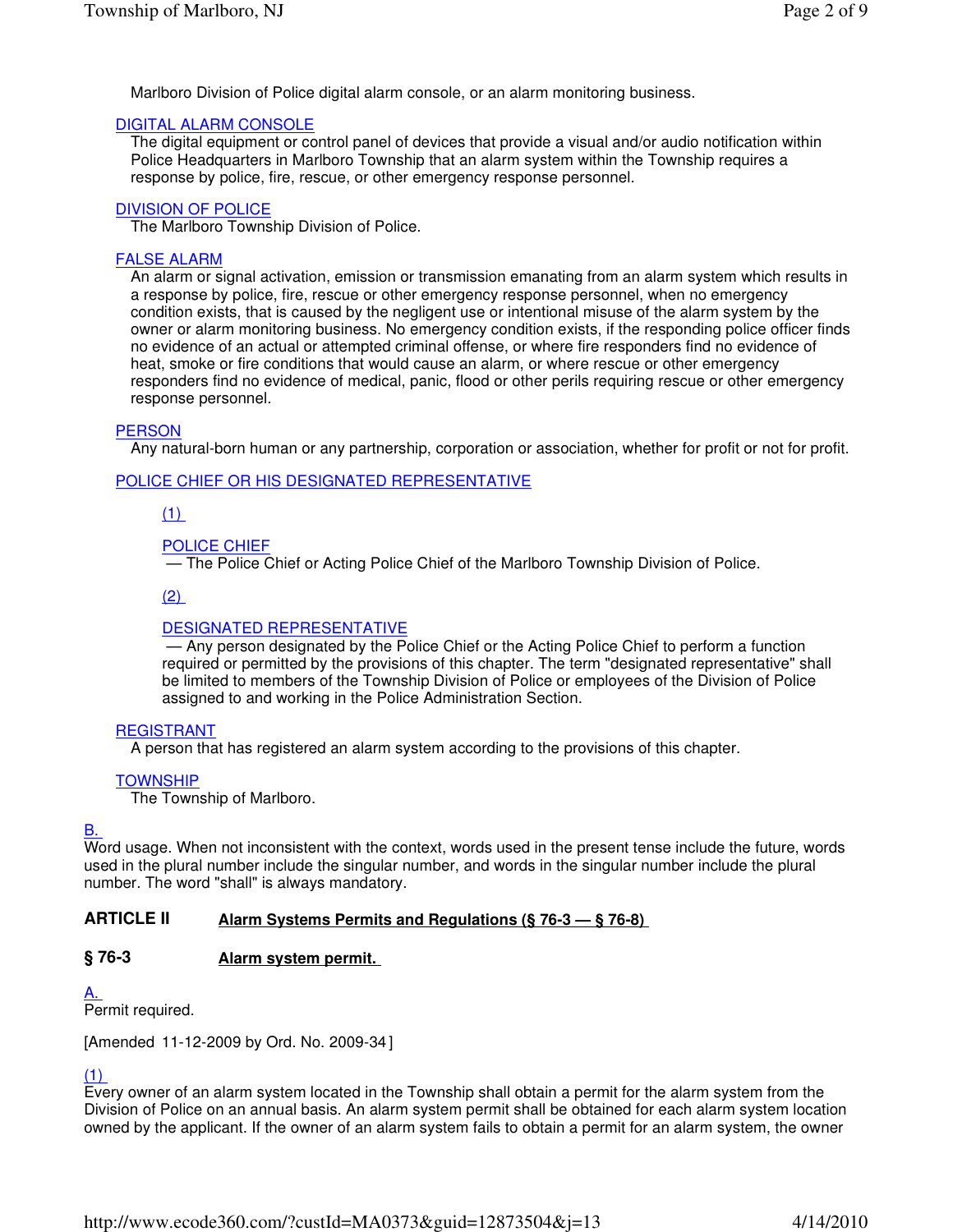Marlboro Division of Police digital alarm console, or an alarm monitoring business.

# DIGITAL ALARM CONSOLE

The digital equipment or control panel of devices that provide a visual and/or audio notification within Police Headquarters in Marlboro Township that an alarm system within the Township requires a response by police, fire, rescue, or other emergency response personnel.

# DIVISION OF POLICE

The Marlboro Township Division of Police.

# FALSE ALARM

An alarm or signal activation, emission or transmission emanating from an alarm system which results in a response by police, fire, rescue or other emergency response personnel, when no emergency condition exists, that is caused by the negligent use or intentional misuse of the alarm system by the owner or alarm monitoring business. No emergency condition exists, if the responding police officer finds no evidence of an actual or attempted criminal offense, or where fire responders find no evidence of heat, smoke or fire conditions that would cause an alarm, or where rescue or other emergency responders find no evidence of medical, panic, flood or other perils requiring rescue or other emergency response personnel.

# **PERSON**

Any natural-born human or any partnership, corporation or association, whether for profit or not for profit.

# POLICE CHIEF OR HIS DESIGNATED REPRESENTATIVE

## (1)

## POLICE CHIEF

— The Police Chief or Acting Police Chief of the Marlboro Township Division of Police.

### $(2)$

### DESIGNATED REPRESENTATIVE

 — Any person designated by the Police Chief or the Acting Police Chief to perform a function required or permitted by the provisions of this chapter. The term "designated representative" shall be limited to members of the Township Division of Police or employees of the Division of Police assigned to and working in the Police Administration Section.

### REGISTRANT

A person that has registered an alarm system according to the provisions of this chapter.

### **TOWNSHIP**

The Township of Marlboro.

## B.

Word usage. When not inconsistent with the context, words used in the present tense include the future, words used in the plural number include the singular number, and words in the singular number include the plural number. The word "shall" is always mandatory.

#### **Alarm Systems Permits and Regulations (§ 76-3 — § 76-8) ARTICLE II**

#### **Alarm system permit. § 76-3**

### A.

Permit required.

[Amended 11-12-2009 by Ord. No. 2009-34 ]

## (1)

Every owner of an alarm system located in the Township shall obtain a permit for the alarm system from the Division of Police on an annual basis. An alarm system permit shall be obtained for each alarm system location owned by the applicant. If the owner of an alarm system fails to obtain a permit for an alarm system, the owner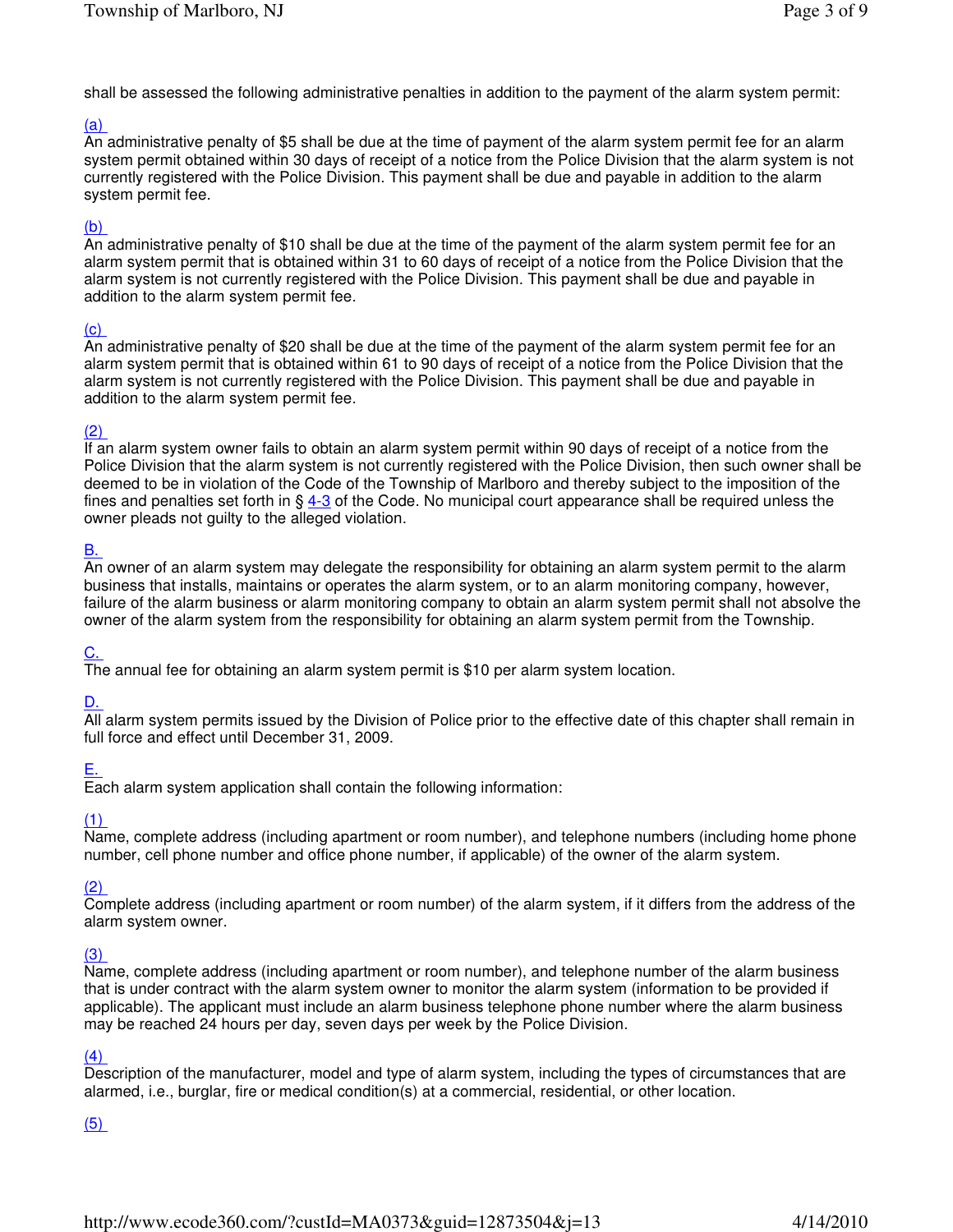shall be assessed the following administrative penalties in addition to the payment of the alarm system permit:

## (a)

An administrative penalty of \$5 shall be due at the time of payment of the alarm system permit fee for an alarm system permit obtained within 30 days of receipt of a notice from the Police Division that the alarm system is not currently registered with the Police Division. This payment shall be due and payable in addition to the alarm system permit fee.

## (b)

An administrative penalty of \$10 shall be due at the time of the payment of the alarm system permit fee for an alarm system permit that is obtained within 31 to 60 days of receipt of a notice from the Police Division that the alarm system is not currently registered with the Police Division. This payment shall be due and payable in addition to the alarm system permit fee.

## (c)

An administrative penalty of \$20 shall be due at the time of the payment of the alarm system permit fee for an alarm system permit that is obtained within 61 to 90 days of receipt of a notice from the Police Division that the alarm system is not currently registered with the Police Division. This payment shall be due and payable in addition to the alarm system permit fee.

## (2)

If an alarm system owner fails to obtain an alarm system permit within 90 days of receipt of a notice from the Police Division that the alarm system is not currently registered with the Police Division, then such owner shall be deemed to be in violation of the Code of the Township of Marlboro and thereby subject to the imposition of the fines and penalties set forth in  $\S 4-3$  of the Code. No municipal court appearance shall be required unless the owner pleads not guilty to the alleged violation.

## B.

An owner of an alarm system may delegate the responsibility for obtaining an alarm system permit to the alarm business that installs, maintains or operates the alarm system, or to an alarm monitoring company, however, failure of the alarm business or alarm monitoring company to obtain an alarm system permit shall not absolve the owner of the alarm system from the responsibility for obtaining an alarm system permit from the Township.

### <u>C.</u>

The annual fee for obtaining an alarm system permit is \$10 per alarm system location.

### D.

All alarm system permits issued by the Division of Police prior to the effective date of this chapter shall remain in full force and effect until December 31, 2009.

### E.

Each alarm system application shall contain the following information:

### (1)

Name, complete address (including apartment or room number), and telephone numbers (including home phone number, cell phone number and office phone number, if applicable) of the owner of the alarm system.

#### (2)

Complete address (including apartment or room number) of the alarm system, if it differs from the address of the alarm system owner.

### (3)

Name, complete address (including apartment or room number), and telephone number of the alarm business that is under contract with the alarm system owner to monitor the alarm system (information to be provided if applicable). The applicant must include an alarm business telephone phone number where the alarm business may be reached 24 hours per day, seven days per week by the Police Division.

### (4)

Description of the manufacturer, model and type of alarm system, including the types of circumstances that are alarmed, i.e., burglar, fire or medical condition(s) at a commercial, residential, or other location.

## (5)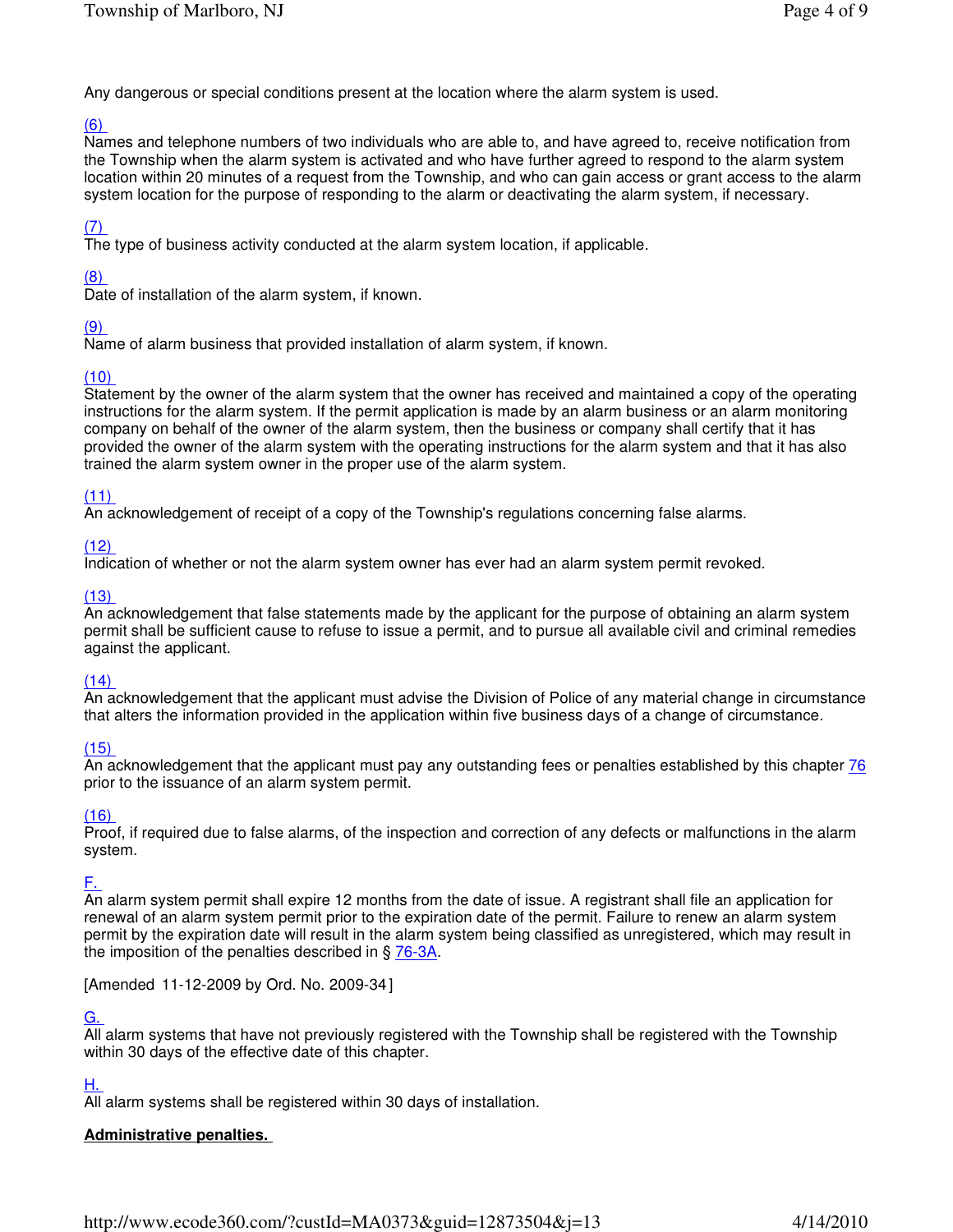Any dangerous or special conditions present at the location where the alarm system is used.

# (6)

Names and telephone numbers of two individuals who are able to, and have agreed to, receive notification from the Township when the alarm system is activated and who have further agreed to respond to the alarm system location within 20 minutes of a request from the Township, and who can gain access or grant access to the alarm system location for the purpose of responding to the alarm or deactivating the alarm system, if necessary.

## (7)

The type of business activity conducted at the alarm system location, if applicable.

## (8)

Date of installation of the alarm system, if known.

## (9)

Name of alarm business that provided installation of alarm system, if known.

## (10)

Statement by the owner of the alarm system that the owner has received and maintained a copy of the operating instructions for the alarm system. If the permit application is made by an alarm business or an alarm monitoring company on behalf of the owner of the alarm system, then the business or company shall certify that it has provided the owner of the alarm system with the operating instructions for the alarm system and that it has also trained the alarm system owner in the proper use of the alarm system.

## (11)

An acknowledgement of receipt of a copy of the Township's regulations concerning false alarms.

## $(12)$

Indication of whether or not the alarm system owner has ever had an alarm system permit revoked.

### $(13)$

An acknowledgement that false statements made by the applicant for the purpose of obtaining an alarm system permit shall be sufficient cause to refuse to issue a permit, and to pursue all available civil and criminal remedies against the applicant.

### $(14)$

An acknowledgement that the applicant must advise the Division of Police of any material change in circumstance that alters the information provided in the application within five business days of a change of circumstance.

### (15)

An acknowledgement that the applicant must pay any outstanding fees or penalties established by this chapter 76 prior to the issuance of an alarm system permit.

### $(16)$

Proof, if required due to false alarms, of the inspection and correction of any defects or malfunctions in the alarm system.

## F.

An alarm system permit shall expire 12 months from the date of issue. A registrant shall file an application for renewal of an alarm system permit prior to the expiration date of the permit. Failure to renew an alarm system permit by the expiration date will result in the alarm system being classified as unregistered, which may result in the imposition of the penalties described in § 76-3A.

[Amended 11-12-2009 by Ord. No. 2009-34 ]

## G.

All alarm systems that have not previously registered with the Township shall be registered with the Township within 30 days of the effective date of this chapter.

### H.

All alarm systems shall be registered within 30 days of installation.

# **Administrative penalties.**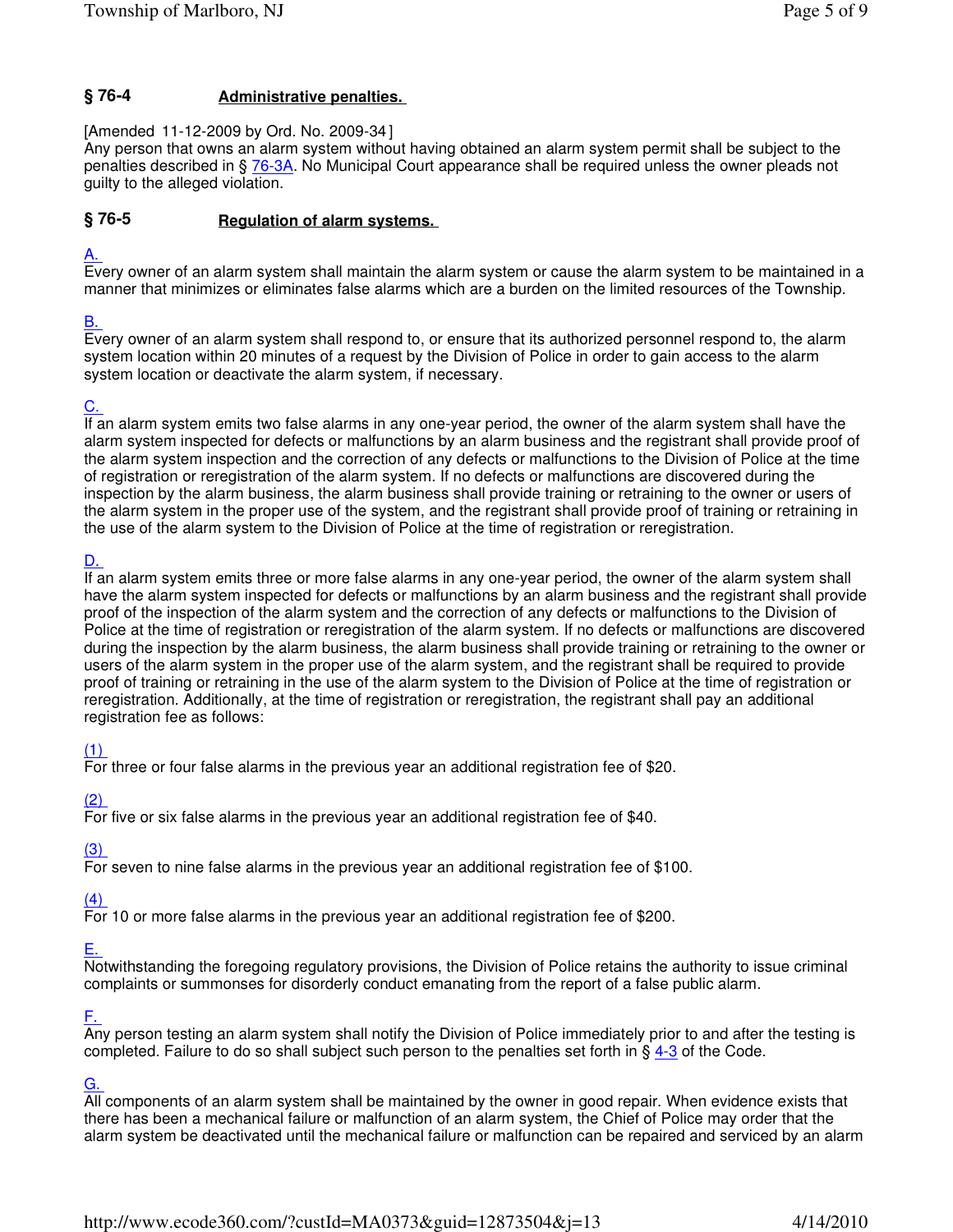#### **Administrative penalties. § 76-4**

[Amended 11-12-2009 by Ord. No. 2009-34 ]

Any person that owns an alarm system without having obtained an alarm system permit shall be subject to the penalties described in § 76-3A. No Municipal Court appearance shall be required unless the owner pleads not guilty to the alleged violation.

#### **Regulation of alarm systems. § 76-5**

# A.

Every owner of an alarm system shall maintain the alarm system or cause the alarm system to be maintained in a manner that minimizes or eliminates false alarms which are a burden on the limited resources of the Township.

# B.

Every owner of an alarm system shall respond to, or ensure that its authorized personnel respond to, the alarm system location within 20 minutes of a request by the Division of Police in order to gain access to the alarm system location or deactivate the alarm system, if necessary.

# C.

If an alarm system emits two false alarms in any one-year period, the owner of the alarm system shall have the alarm system inspected for defects or malfunctions by an alarm business and the registrant shall provide proof of the alarm system inspection and the correction of any defects or malfunctions to the Division of Police at the time of registration or reregistration of the alarm system. If no defects or malfunctions are discovered during the inspection by the alarm business, the alarm business shall provide training or retraining to the owner or users of the alarm system in the proper use of the system, and the registrant shall provide proof of training or retraining in the use of the alarm system to the Division of Police at the time of registration or reregistration.

# D.

If an alarm system emits three or more false alarms in any one-year period, the owner of the alarm system shall have the alarm system inspected for defects or malfunctions by an alarm business and the registrant shall provide proof of the inspection of the alarm system and the correction of any defects or malfunctions to the Division of Police at the time of registration or reregistration of the alarm system. If no defects or malfunctions are discovered during the inspection by the alarm business, the alarm business shall provide training or retraining to the owner or users of the alarm system in the proper use of the alarm system, and the registrant shall be required to provide proof of training or retraining in the use of the alarm system to the Division of Police at the time of registration or reregistration. Additionally, at the time of registration or reregistration, the registrant shall pay an additional registration fee as follows:

# (1)

For three or four false alarms in the previous year an additional registration fee of \$20.

# (2)

For five or six false alarms in the previous year an additional registration fee of \$40.

# (3)

For seven to nine false alarms in the previous year an additional registration fee of \$100.

# (4)

For 10 or more false alarms in the previous year an additional registration fee of \$200.

# E.

Notwithstanding the foregoing regulatory provisions, the Division of Police retains the authority to issue criminal complaints or summonses for disorderly conduct emanating from the report of a false public alarm.

## F.

Any person testing an alarm system shall notify the Division of Police immediately prior to and after the testing is completed. Failure to do so shall subject such person to the penalties set forth in § 4-3 of the Code.

## G.

All components of an alarm system shall be maintained by the owner in good repair. When evidence exists that there has been a mechanical failure or malfunction of an alarm system, the Chief of Police may order that the alarm system be deactivated until the mechanical failure or malfunction can be repaired and serviced by an alarm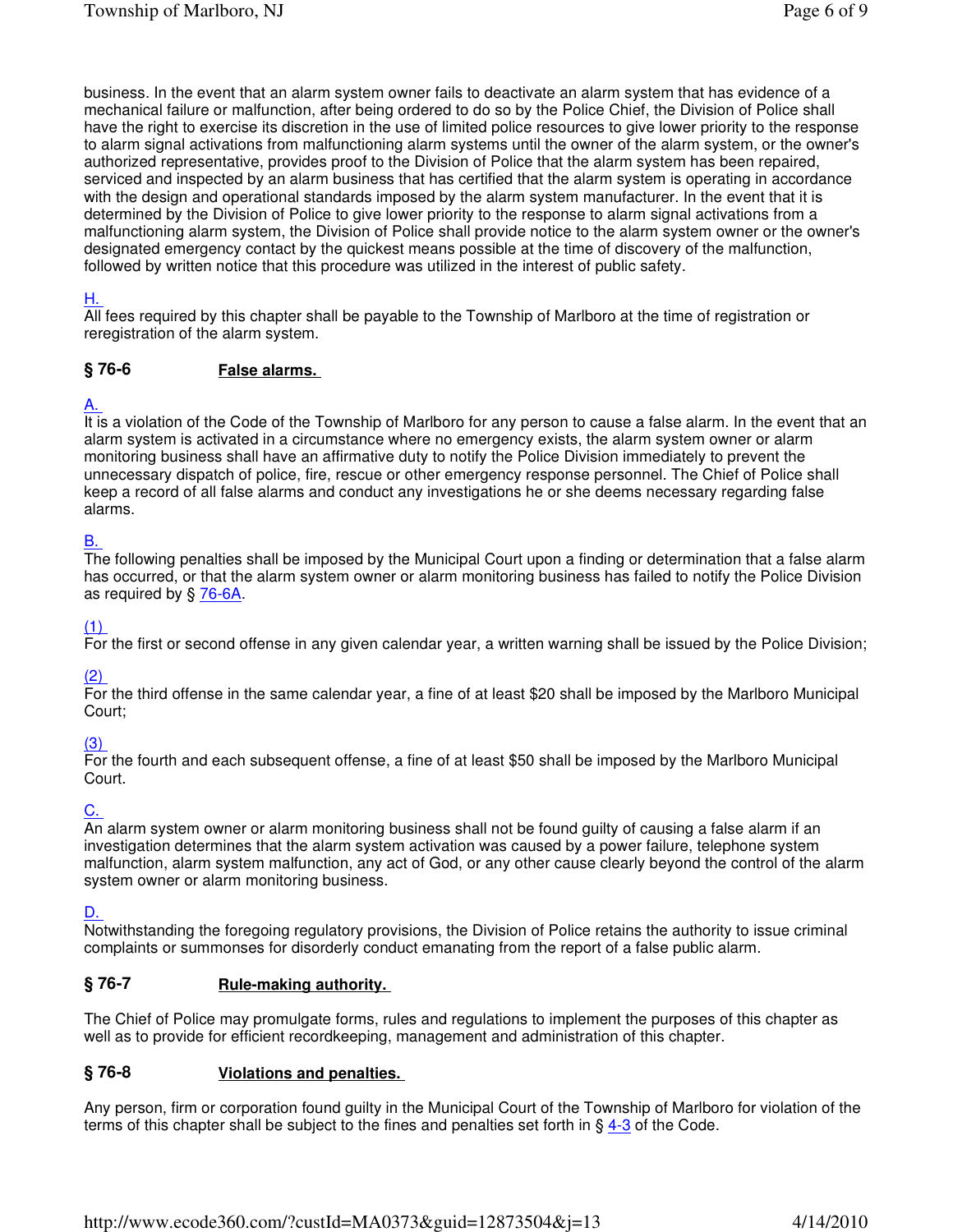business. In the event that an alarm system owner fails to deactivate an alarm system that has evidence of a mechanical failure or malfunction, after being ordered to do so by the Police Chief, the Division of Police shall have the right to exercise its discretion in the use of limited police resources to give lower priority to the response to alarm signal activations from malfunctioning alarm systems until the owner of the alarm system, or the owner's authorized representative, provides proof to the Division of Police that the alarm system has been repaired, serviced and inspected by an alarm business that has certified that the alarm system is operating in accordance with the design and operational standards imposed by the alarm system manufacturer. In the event that it is determined by the Division of Police to give lower priority to the response to alarm signal activations from a malfunctioning alarm system, the Division of Police shall provide notice to the alarm system owner or the owner's designated emergency contact by the quickest means possible at the time of discovery of the malfunction, followed by written notice that this procedure was utilized in the interest of public safety.

## H.

All fees required by this chapter shall be payable to the Township of Marlboro at the time of registration or reregistration of the alarm system.

#### **False alarms. § 76-6**

## A.

It is a violation of the Code of the Township of Marlboro for any person to cause a false alarm. In the event that an alarm system is activated in a circumstance where no emergency exists, the alarm system owner or alarm monitoring business shall have an affirmative duty to notify the Police Division immediately to prevent the unnecessary dispatch of police, fire, rescue or other emergency response personnel. The Chief of Police shall keep a record of all false alarms and conduct any investigations he or she deems necessary regarding false alarms.

## B.

The following penalties shall be imposed by the Municipal Court upon a finding or determination that a false alarm has occurred, or that the alarm system owner or alarm monitoring business has failed to notify the Police Division as required by § 76-6A.

### (1)

For the first or second offense in any given calendar year, a written warning shall be issued by the Police Division;

### (2)

For the third offense in the same calendar year, a fine of at least \$20 shall be imposed by the Marlboro Municipal Court;

## (3)

For the fourth and each subsequent offense, a fine of at least \$50 shall be imposed by the Marlboro Municipal Court.

## <u>C.</u>

An alarm system owner or alarm monitoring business shall not be found guilty of causing a false alarm if an investigation determines that the alarm system activation was caused by a power failure, telephone system malfunction, alarm system malfunction, any act of God, or any other cause clearly beyond the control of the alarm system owner or alarm monitoring business.

### D.

Notwithstanding the foregoing regulatory provisions, the Division of Police retains the authority to issue criminal complaints or summonses for disorderly conduct emanating from the report of a false public alarm.

#### **Rule-making authority. § 76-7**

The Chief of Police may promulgate forms, rules and regulations to implement the purposes of this chapter as well as to provide for efficient recordkeeping, management and administration of this chapter.

#### **Violations and penalties. § 76-8**

Any person, firm or corporation found guilty in the Municipal Court of the Township of Marlboro for violation of the terms of this chapter shall be subject to the fines and penalties set forth in § 4-3 of the Code.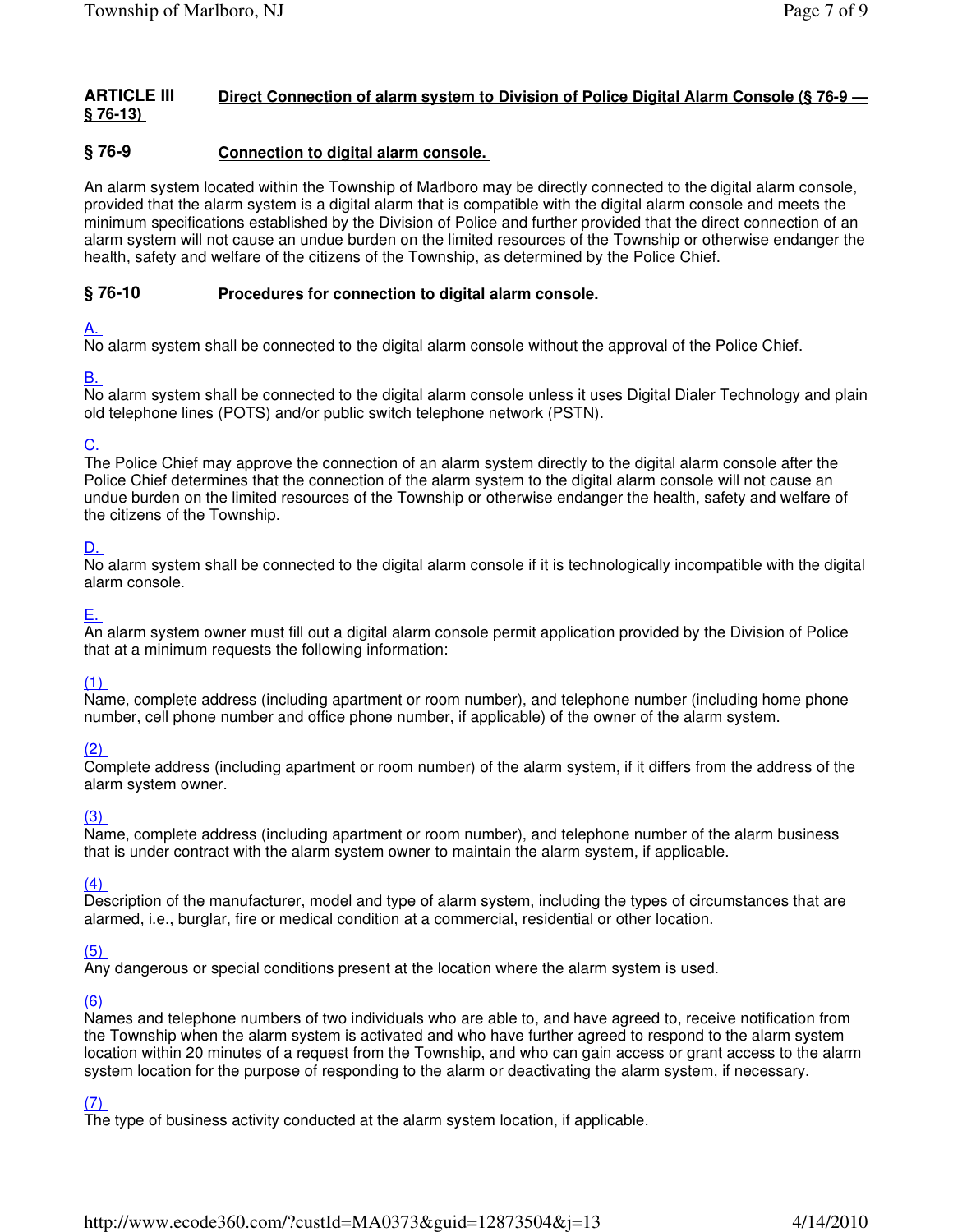#### **Direct Connection of alarm system to Division of Police Digital Alarm Console (§ 76-9 — § 76-13) ARTICLE III**

#### **Connection to digital alarm console. § 76-9**

An alarm system located within the Township of Marlboro may be directly connected to the digital alarm console, provided that the alarm system is a digital alarm that is compatible with the digital alarm console and meets the minimum specifications established by the Division of Police and further provided that the direct connection of an alarm system will not cause an undue burden on the limited resources of the Township or otherwise endanger the health, safety and welfare of the citizens of the Township, as determined by the Police Chief.

#### **Procedures for connection to digital alarm console. § 76-10**

## A.

No alarm system shall be connected to the digital alarm console without the approval of the Police Chief.

## B.

No alarm system shall be connected to the digital alarm console unless it uses Digital Dialer Technology and plain old telephone lines (POTS) and/or public switch telephone network (PSTN).

# C.

The Police Chief may approve the connection of an alarm system directly to the digital alarm console after the Police Chief determines that the connection of the alarm system to the digital alarm console will not cause an undue burden on the limited resources of the Township or otherwise endanger the health, safety and welfare of the citizens of the Township.

# D.

No alarm system shall be connected to the digital alarm console if it is technologically incompatible with the digital alarm console.

# E.

An alarm system owner must fill out a digital alarm console permit application provided by the Division of Police that at a minimum requests the following information:

# (1)

Name, complete address (including apartment or room number), and telephone number (including home phone number, cell phone number and office phone number, if applicable) of the owner of the alarm system.

## (2)

Complete address (including apartment or room number) of the alarm system, if it differs from the address of the alarm system owner.

## (3)

Name, complete address (including apartment or room number), and telephone number of the alarm business that is under contract with the alarm system owner to maintain the alarm system, if applicable.

## (4)

Description of the manufacturer, model and type of alarm system, including the types of circumstances that are alarmed, i.e., burglar, fire or medical condition at a commercial, residential or other location.

## (5)

Any dangerous or special conditions present at the location where the alarm system is used.

## (6)

Names and telephone numbers of two individuals who are able to, and have agreed to, receive notification from the Township when the alarm system is activated and who have further agreed to respond to the alarm system location within 20 minutes of a request from the Township, and who can gain access or grant access to the alarm system location for the purpose of responding to the alarm or deactivating the alarm system, if necessary.

# (7)

The type of business activity conducted at the alarm system location, if applicable.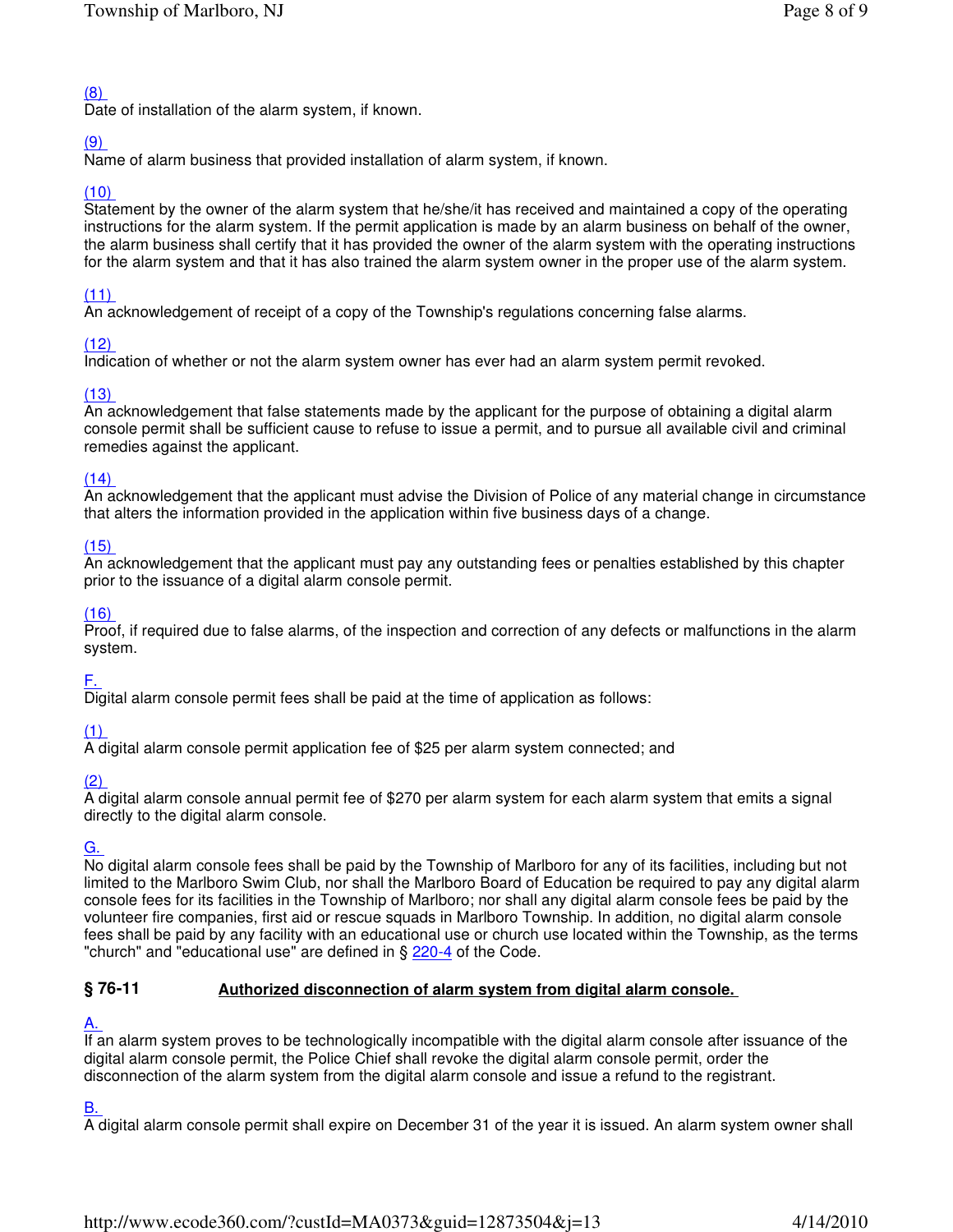# (8)

Date of installation of the alarm system, if known.

# (9)

Name of alarm business that provided installation of alarm system, if known.

# (10)

Statement by the owner of the alarm system that he/she/it has received and maintained a copy of the operating instructions for the alarm system. If the permit application is made by an alarm business on behalf of the owner, the alarm business shall certify that it has provided the owner of the alarm system with the operating instructions for the alarm system and that it has also trained the alarm system owner in the proper use of the alarm system.

# (11)

An acknowledgement of receipt of a copy of the Township's regulations concerning false alarms.

# $(12)$

Indication of whether or not the alarm system owner has ever had an alarm system permit revoked.

# (13)

An acknowledgement that false statements made by the applicant for the purpose of obtaining a digital alarm console permit shall be sufficient cause to refuse to issue a permit, and to pursue all available civil and criminal remedies against the applicant.

# $(14)$

An acknowledgement that the applicant must advise the Division of Police of any material change in circumstance that alters the information provided in the application within five business days of a change.

## (15)

An acknowledgement that the applicant must pay any outstanding fees or penalties established by this chapter prior to the issuance of a digital alarm console permit.

## (16)

Proof, if required due to false alarms, of the inspection and correction of any defects or malfunctions in the alarm system.

## F.

Digital alarm console permit fees shall be paid at the time of application as follows:

# (1)

A digital alarm console permit application fee of \$25 per alarm system connected; and

# (2)

A digital alarm console annual permit fee of \$270 per alarm system for each alarm system that emits a signal directly to the digital alarm console.

# G.

No digital alarm console fees shall be paid by the Township of Marlboro for any of its facilities, including but not limited to the Marlboro Swim Club, nor shall the Marlboro Board of Education be required to pay any digital alarm console fees for its facilities in the Township of Marlboro; nor shall any digital alarm console fees be paid by the volunteer fire companies, first aid or rescue squads in Marlboro Township. In addition, no digital alarm console fees shall be paid by any facility with an educational use or church use located within the Township, as the terms "church" and "educational use" are defined in § 220-4 of the Code.

#### **Authorized disconnection of alarm system from digital alarm console. § 76-11**

# A.

If an alarm system proves to be technologically incompatible with the digital alarm console after issuance of the digital alarm console permit, the Police Chief shall revoke the digital alarm console permit, order the disconnection of the alarm system from the digital alarm console and issue a refund to the registrant.

# B.

A digital alarm console permit shall expire on December 31 of the year it is issued. An alarm system owner shall